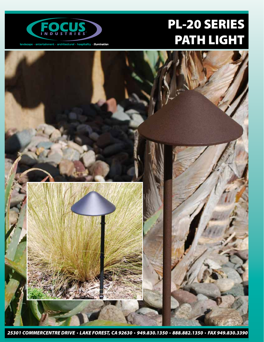

# PL-20 SERIES PATH LIGHT

 $land \texttt{scale} \cdot \texttt{entert}$ anment  $\cdot$  architectural  $\cdot$  hospitality  $\cdot$  illumination



*25301 COMMERCENTRE DRIVE LAKE FOREST, CA 92630 949.830.1350 888.882.1350 FAX 949.830.3390*